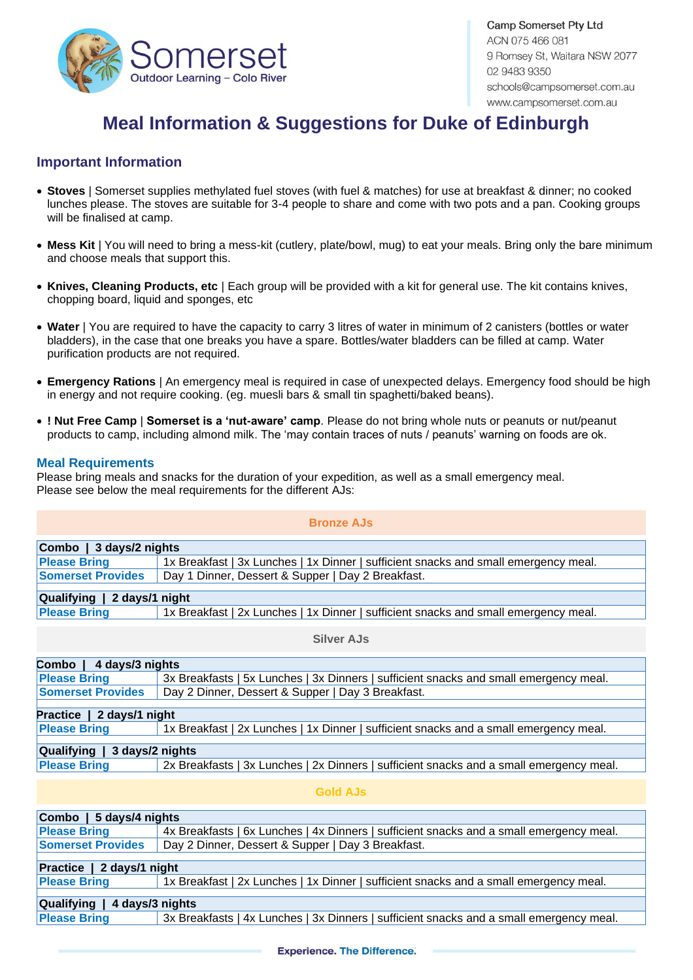

Camp Somerset Pty Ltd ACN 075 466 081 9 Romsey St, Waitara NSW 2077 02 9483 9350 schools@campsomerset.com.au www.campsomerset.com.au

# **Meal Information & Suggestions for Duke of Edinburgh**

## **Important Information**

- **Stoves** | Somerset supplies methylated fuel stoves (with fuel & matches) for use at breakfast & dinner; no cooked lunches please. The stoves are suitable for 3-4 people to share and come with two pots and a pan. Cooking groups will be finalised at camp.
- **Mess Kit** | You will need to bring a mess-kit (cutlery, plate/bowl, mug) to eat your meals. Bring only the bare minimum and choose meals that support this.
- **Knives, Cleaning Products, etc** | Each group will be provided with a kit for general use. The kit contains knives, chopping board, liquid and sponges, etc
- **Water** | You are required to have the capacity to carry 3 litres of water in minimum of 2 canisters (bottles or water bladders), in the case that one breaks you have a spare. Bottles/water bladders can be filled at camp. Water purification products are not required.
- **Emergency Rations** | An emergency meal is required in case of unexpected delays. Emergency food should be high in energy and not require cooking. (eg. muesli bars & small tin spaghetti/baked beans).
- **! Nut Free Camp** | **Somerset is a 'nut-aware' camp**. Please do not bring whole nuts or peanuts or nut/peanut products to camp, including almond milk. The 'may contain traces of nuts / peanuts' warning on foods are ok.

#### **Meal Requirements**

Please bring meals and snacks for the duration of your expedition, as well as a small emergency meal. Please see below the meal requirements for the different AJs:

#### **Bronze AJs**

| Combo   3 days/2 nights  |  |                                                   |  |                                                                                     |  |  |
|--------------------------|--|---------------------------------------------------|--|-------------------------------------------------------------------------------------|--|--|
| <b>Please Bring</b>      |  |                                                   |  | 1x Breakfast   3x Lunches   1x Dinner   sufficient snacks and small emergency meal. |  |  |
| <b>Somerset Provides</b> |  | Day 1 Dinner, Dessert & Supper   Day 2 Breakfast. |  |                                                                                     |  |  |
|                          |  |                                                   |  |                                                                                     |  |  |

| Qualifying   2 days/1 night |  |                                                                                     |
|-----------------------------|--|-------------------------------------------------------------------------------------|
| <b>Please Bring</b>         |  | 1x Breakfast   2x Lunches   1x Dinner   sufficient snacks and small emergency meal. |

#### **Silver AJs**

| Combo   4 days/3 nights      |                                                                                         |  |  |  |
|------------------------------|-----------------------------------------------------------------------------------------|--|--|--|
| <b>Please Bring</b>          | 3x Breakfasts   5x Lunches   3x Dinners   sufficient snacks and small emergency meal.   |  |  |  |
| <b>Somerset Provides</b>     | Day 2 Dinner, Dessert & Supper   Day 3 Breakfast.                                       |  |  |  |
|                              |                                                                                         |  |  |  |
| Practice   2 days/1 night    |                                                                                         |  |  |  |
| <b>Please Bring</b>          | 1x Breakfast   2x Lunches   1x Dinner   sufficient snacks and a small emergency meal.   |  |  |  |
|                              |                                                                                         |  |  |  |
| Qualifying   3 days/2 nights |                                                                                         |  |  |  |
| <b>Please Bring</b>          | 2x Breakfasts   3x Lunches   2x Dinners   sufficient snacks and a small emergency meal. |  |  |  |
|                              |                                                                                         |  |  |  |
|                              |                                                                                         |  |  |  |

#### **Gold AJs**

| Combo   5 days/4 nights      |                                                                                         |  |  |  |  |
|------------------------------|-----------------------------------------------------------------------------------------|--|--|--|--|
| <b>Please Bring</b>          | 4x Breakfasts   6x Lunches   4x Dinners   sufficient snacks and a small emergency meal. |  |  |  |  |
| <b>Somerset Provides</b>     | Day 2 Dinner, Dessert & Supper   Day 3 Breakfast.                                       |  |  |  |  |
|                              |                                                                                         |  |  |  |  |
| Practice   2 days/1 night    |                                                                                         |  |  |  |  |
| <b>Please Bring</b>          | 1x Breakfast   2x Lunches   1x Dinner   sufficient snacks and a small emergency meal.   |  |  |  |  |
|                              |                                                                                         |  |  |  |  |
| Qualifying   4 days/3 nights |                                                                                         |  |  |  |  |
| <b>Please Bring</b>          | 3x Breakfasts   4x Lunches   3x Dinners   sufficient snacks and a small emergency meal. |  |  |  |  |